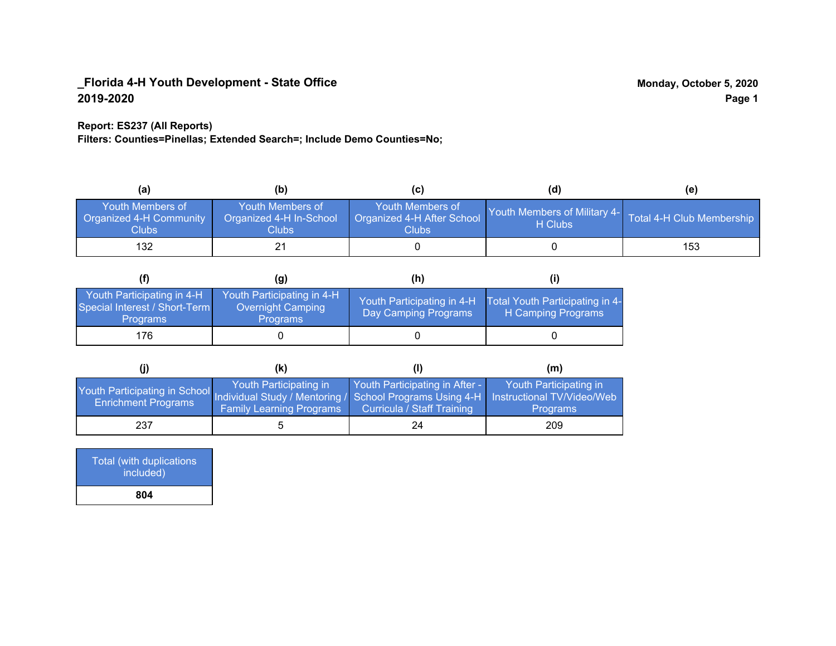## **Report: ES237 (All Reports)**

**Filters: Counties=Pinellas; Extended Search=; Include Demo Counties=No;**

| (a)                                                         | (b)                                                         | (C)                                                       | (d)                                     | (e)                       |
|-------------------------------------------------------------|-------------------------------------------------------------|-----------------------------------------------------------|-----------------------------------------|---------------------------|
| Youth Members of<br><b>Organized 4-H Community</b><br>Clubs | Youth Members of<br>Organized 4-H In-School<br><b>Clubs</b> | Youth Members of<br>Organized 4-H After School<br>Clubs : | Youth Members of Military 4-<br>H Clubs | Total 4-H Club Membership |
| 132                                                         |                                                             |                                                           |                                         | 153                       |

|                                                                                | (g)                                                                | (h)                                                |                                                       |
|--------------------------------------------------------------------------------|--------------------------------------------------------------------|----------------------------------------------------|-------------------------------------------------------|
| Youth Participating in 4-H<br>Special Interest / Short-Term<br><b>Programs</b> | Youth Participating in 4-H<br>Overnight Camping<br><b>Programs</b> | Youth Participating in 4-H<br>Day Camping Programs | Total Youth Participating in 4-<br>H Camping Programs |
| 176                                                                            |                                                                    |                                                    |                                                       |

|                                                                                                                                                   | (K)                                                       |                                                                     | (m)                                       |
|---------------------------------------------------------------------------------------------------------------------------------------------------|-----------------------------------------------------------|---------------------------------------------------------------------|-------------------------------------------|
| Youth Participating in School Individual Study / Mentoring / School Programs Using 4-H   Instructional TV/Video/Web<br><b>Enrichment Programs</b> | Youth Participating in<br><b>Family Learning Programs</b> | Youth Participating in After -<br><b>Curricula / Staff Training</b> | Youth Participating in<br><b>Programs</b> |
| 237                                                                                                                                               |                                                           | 24                                                                  | 209                                       |

| Total (with duplications<br>included) |
|---------------------------------------|
| 804                                   |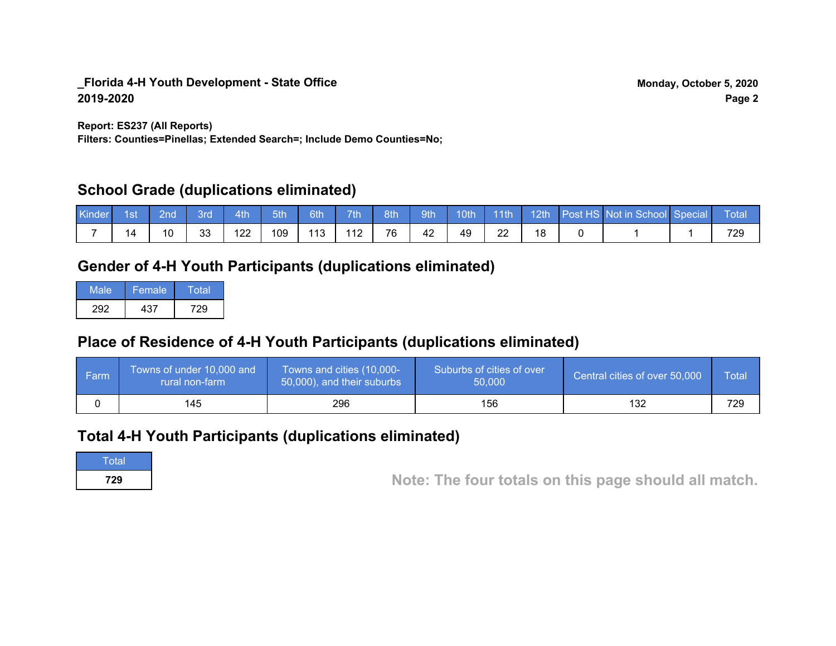**Report: ES237 (All Reports)**

**Filters: Counties=Pinellas; Extended Search=; Include Demo Counties=No;**

## **School Grade (duplications eliminated)**

| Kinder | 1st | 2nd' | 3rd      | 4th | 5th | 6th/ | 7 <sup>th</sup> | 8th | 9th | 10 <sub>th</sub> | $\vert$ 11th |  | 12th Post HS Not in School Special | Total |
|--------|-----|------|----------|-----|-----|------|-----------------|-----|-----|------------------|--------------|--|------------------------------------|-------|
|        | 14  |      | วว<br>ບບ | 122 | 109 | 113  | 112             | 76  | 42  | 49               | ററ<br>∠∠     |  |                                    | 729   |

## **Gender of 4-H Youth Participants (duplications eliminated)**

| Male | Female | Total |
|------|--------|-------|
| 292  | 437    | 729   |

# **Place of Residence of 4-H Youth Participants (duplications eliminated)**

| l Farm | Towns of under 10,000 and<br>rural non-farm | Towns and cities (10,000-<br>50,000), and their suburbs | Suburbs of cities of over<br>50,000 | Central cities of over 50,000 | Total |
|--------|---------------------------------------------|---------------------------------------------------------|-------------------------------------|-------------------------------|-------|
|        | 145                                         | 296                                                     | 156                                 | 132                           | 729   |

## **Total 4-H Youth Participants (duplications eliminated)**

**Total** 

**<sup>729</sup> Note: The four totals on this page should all match.**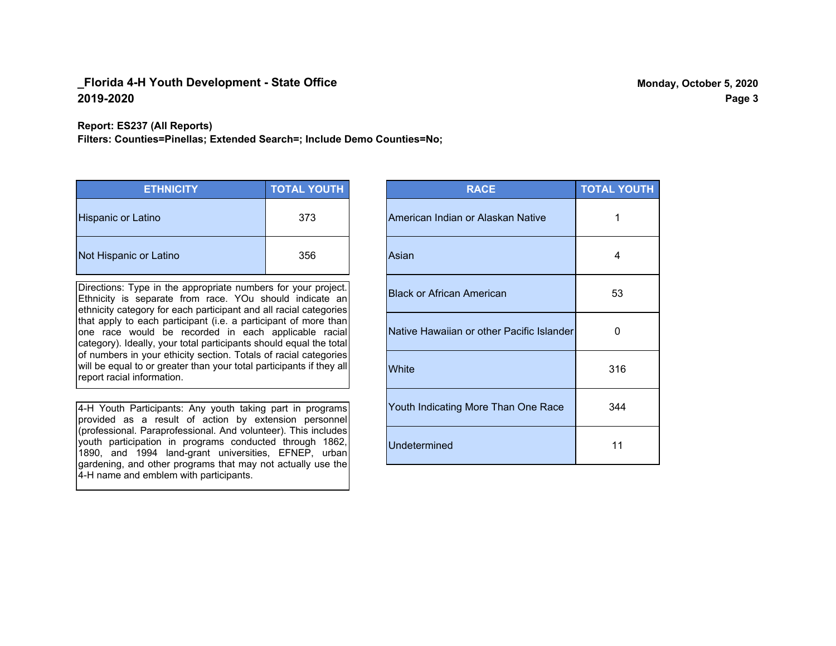**Report: ES237 (All Reports)**

**Filters: Counties=Pinellas; Extended Search=; Include Demo Counties=No;**

| <b>ETHNICITY</b>          | <b>TOTAL YOUTH</b> |
|---------------------------|--------------------|
| <b>Hispanic or Latino</b> | 373                |
| Not Hispanic or Latino    | 356                |

Directions: Type in the appropriate numbers for your project. Ethnicity is separate from race. YOu should indicate an ethnicity category for each participant and all racial categories that apply to each participant (i.e. a participant of more than one race would be recorded in each applicable racial category). Ideally, your total participants should equal the total of numbers in your ethicity section. Totals of racial categories will be equal to or greater than your total participants if they all report racial information.

4-H Youth Participants: Any youth taking part in programs provided as a result of action by extension personnel (professional. Paraprofessional. And volunteer). This includes youth participation in programs conducted through 1862, 1890, and 1994 land-grant universities, EFNEP, urban gardening, and other programs that may not actually use the 4-H name and emblem with participants.

| <b>RACE</b>                               | <b>TOTAL YOUTH</b> |
|-------------------------------------------|--------------------|
| American Indian or Alaskan Native         | 1                  |
| Asian                                     | 4                  |
| <b>Black or African American</b>          | 53                 |
| Native Hawaiian or other Pacific Islander | O                  |
| White                                     | 316                |
| Youth Indicating More Than One Race       | 344                |
| <b>Undetermined</b>                       | 11                 |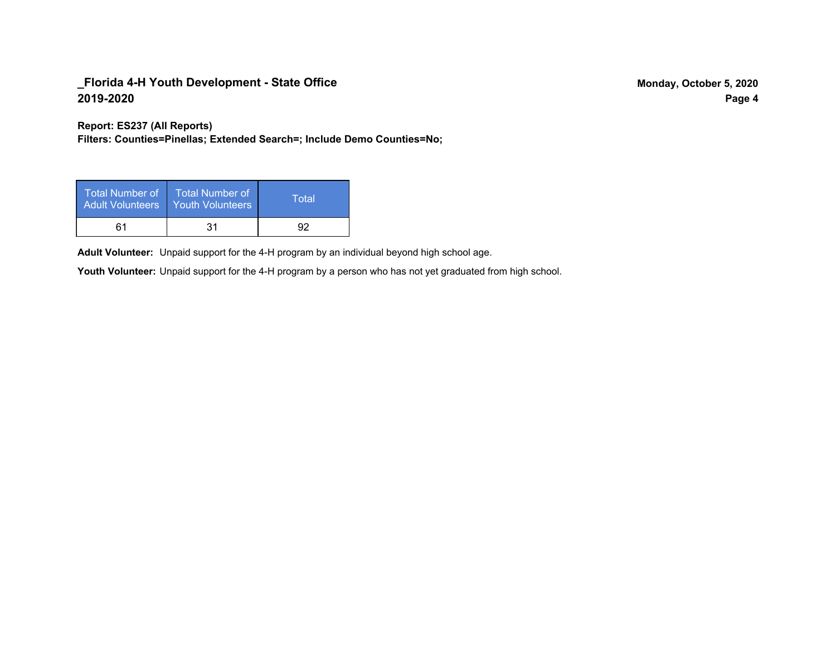**Report: ES237 (All Reports)**

**Filters: Counties=Pinellas; Extended Search=; Include Demo Counties=No;**

| Total Number of<br><b>Adult Volunteers</b> | <b>Total Number of</b><br><b>Youth Volunteers</b> | Total |
|--------------------------------------------|---------------------------------------------------|-------|
| 61                                         | 31                                                |       |

Adult Volunteer: Unpaid support for the 4-H program by an individual beyond high school age.

Youth Volunteer: Unpaid support for the 4-H program by a person who has not yet graduated from high school.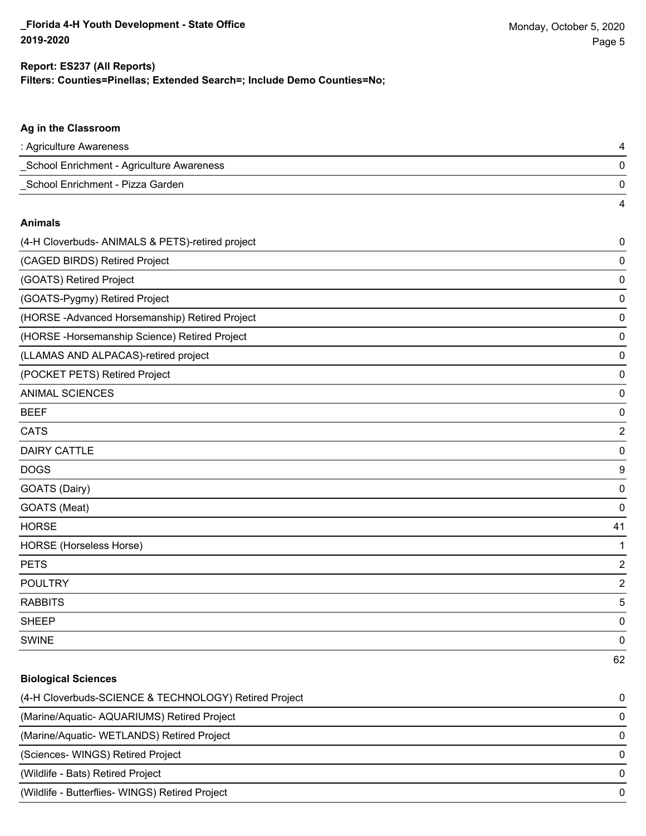4

## **Filters: Counties=Pinellas; Extended Search=; Include Demo Counties=No; Report: ES237 (All Reports)**

## **Ag in the Classroom**

| : Agriculture Awareness                   |  |
|-------------------------------------------|--|
| School Enrichment - Agriculture Awareness |  |
| School Enrichment - Pizza Garden          |  |

#### **Animals**

| (4-H Cloverbuds- ANIMALS & PETS)-retired project | 0              |
|--------------------------------------------------|----------------|
| (CAGED BIRDS) Retired Project                    | 0              |
| (GOATS) Retired Project                          | 0              |
| (GOATS-Pygmy) Retired Project                    | 0              |
| (HORSE-Advanced Horsemanship) Retired Project    | 0              |
| (HORSE - Horsemanship Science) Retired Project   | 0              |
| (LLAMAS AND ALPACAS)-retired project             | 0              |
| (POCKET PETS) Retired Project                    | 0              |
| <b>ANIMAL SCIENCES</b>                           | 0              |
| <b>BEEF</b>                                      | 0              |
| <b>CATS</b>                                      | $\overline{2}$ |
| <b>DAIRY CATTLE</b>                              | 0              |
| <b>DOGS</b>                                      | 9              |
| GOATS (Dairy)                                    | 0              |
| GOATS (Meat)                                     | 0              |
| <b>HORSE</b>                                     | 41             |
| <b>HORSE</b> (Horseless Horse)                   | 1              |
| <b>PETS</b>                                      | 2              |
| <b>POULTRY</b>                                   | $\overline{2}$ |
| <b>RABBITS</b>                                   | 5              |
| <b>SHEEP</b>                                     | 0              |
| <b>SWINE</b>                                     | 0              |
|                                                  | 62             |

## **Biological Sciences**

| (4-H Cloverbuds-SCIENCE & TECHNOLOGY) Retired Project | 0        |
|-------------------------------------------------------|----------|
| (Marine/Aquatic-AQUARIUMS) Retired Project            | $\Omega$ |
| (Marine/Aquatic- WETLANDS) Retired Project            | $\Omega$ |
| (Sciences-WINGS) Retired Project                      | 0        |
| (Wildlife - Bats) Retired Project                     | $\Omega$ |
| (Wildlife - Butterflies- WINGS) Retired Project       | $\Omega$ |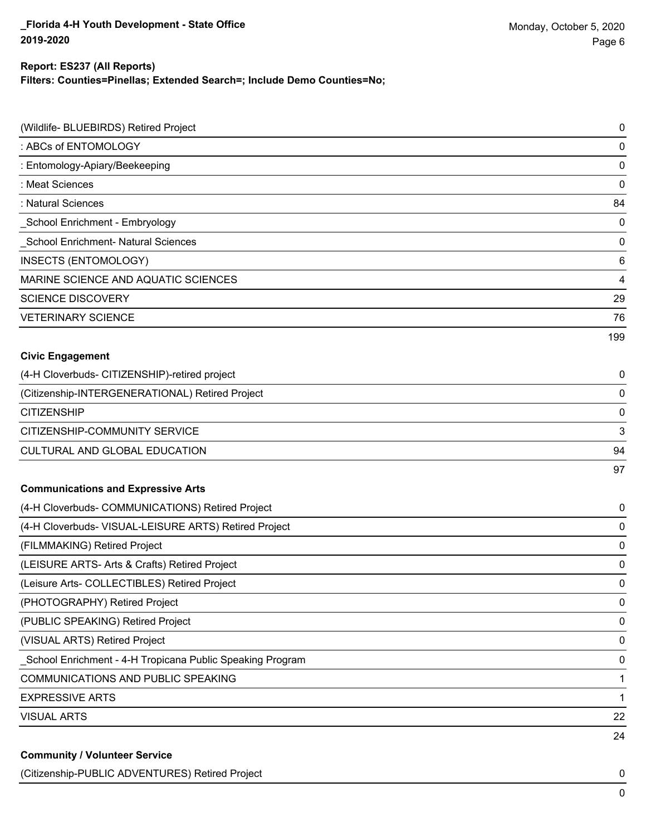### **Report: ES237 (All Reports)**

**Filters: Counties=Pinellas; Extended Search=; Include Demo Counties=No;**

| (Wildlife- BLUEBIRDS) Retired Project                     | $\pmb{0}$               |
|-----------------------------------------------------------|-------------------------|
| : ABCs of ENTOMOLOGY                                      | $\mathbf 0$             |
| : Entomology-Apiary/Beekeeping                            | $\mathbf 0$             |
| : Meat Sciences                                           | $\mathbf 0$             |
| : Natural Sciences                                        | 84                      |
| School Enrichment - Embryology                            | $\mathbf 0$             |
| School Enrichment- Natural Sciences                       | $\mathbf 0$             |
| INSECTS (ENTOMOLOGY)                                      | 6                       |
| MARINE SCIENCE AND AQUATIC SCIENCES                       | $\overline{\mathbf{4}}$ |
| <b>SCIENCE DISCOVERY</b>                                  | 29                      |
| <b>VETERINARY SCIENCE</b>                                 | 76                      |
|                                                           | 199                     |
| <b>Civic Engagement</b>                                   |                         |
| (4-H Cloverbuds- CITIZENSHIP)-retired project             | 0                       |
| (Citizenship-INTERGENERATIONAL) Retired Project           | $\mathbf 0$             |
| <b>CITIZENSHIP</b>                                        | $\mathbf 0$             |
| CITIZENSHIP-COMMUNITY SERVICE                             | 3                       |
| CULTURAL AND GLOBAL EDUCATION                             | 94                      |
|                                                           | 97                      |
| <b>Communications and Expressive Arts</b>                 |                         |
| (4-H Cloverbuds- COMMUNICATIONS) Retired Project          | 0                       |
| (4-H Cloverbuds- VISUAL-LEISURE ARTS) Retired Project     | 0                       |
| (FILMMAKING) Retired Project                              | $\mathbf 0$             |
| (LEISURE ARTS- Arts & Crafts) Retired Project             | 0                       |
| (Leisure Arts- COLLECTIBLES) Retired Project              | $\mathbf 0$             |
| (PHOTOGRAPHY) Retired Project                             | $\pmb{0}$               |
| (PUBLIC SPEAKING) Retired Project                         | $\pmb{0}$               |
| (VISUAL ARTS) Retired Project                             | $\pmb{0}$               |
| School Enrichment - 4-H Tropicana Public Speaking Program | $\mathbf 0$             |
| COMMUNICATIONS AND PUBLIC SPEAKING                        | 1                       |
| <b>EXPRESSIVE ARTS</b>                                    | 1                       |
| <b>VISUAL ARTS</b>                                        | 22                      |
|                                                           | 24                      |
| <b>Community / Volunteer Service</b>                      |                         |

(Citizenship-PUBLIC ADVENTURES) Retired Project 0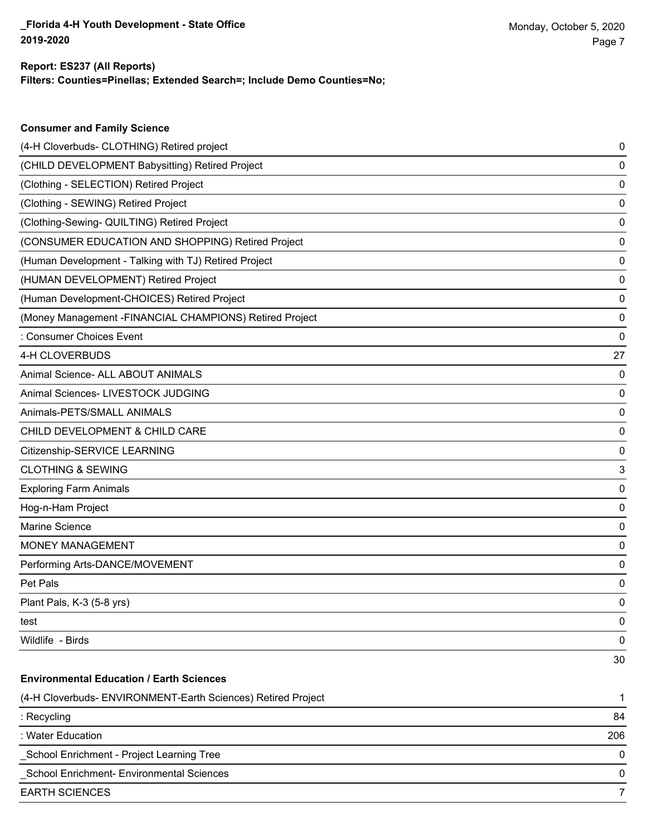**Consumer and Family Science**

## **Filters: Counties=Pinellas; Extended Search=; Include Demo Counties=No; Report: ES237 (All Reports)**

| (4-H Cloverbuds- CLOTHING) Retired project                   | 0   |
|--------------------------------------------------------------|-----|
| (CHILD DEVELOPMENT Babysitting) Retired Project              | 0   |
| (Clothing - SELECTION) Retired Project                       | 0   |
| (Clothing - SEWING) Retired Project                          | 0   |
| (Clothing-Sewing- QUILTING) Retired Project                  | 0   |
| (CONSUMER EDUCATION AND SHOPPING) Retired Project            | 0   |
| (Human Development - Talking with TJ) Retired Project        | 0   |
| (HUMAN DEVELOPMENT) Retired Project                          | 0   |
| (Human Development-CHOICES) Retired Project                  | 0   |
| (Money Management -FINANCIAL CHAMPIONS) Retired Project      | 0   |
| : Consumer Choices Event                                     | 0   |
| 4-H CLOVERBUDS                                               | 27  |
| Animal Science- ALL ABOUT ANIMALS                            | 0   |
| Animal Sciences- LIVESTOCK JUDGING                           | 0   |
| Animals-PETS/SMALL ANIMALS                                   | 0   |
| CHILD DEVELOPMENT & CHILD CARE                               | 0   |
| Citizenship-SERVICE LEARNING                                 | 0   |
| <b>CLOTHING &amp; SEWING</b>                                 | 3   |
| <b>Exploring Farm Animals</b>                                | 0   |
| Hog-n-Ham Project                                            | 0   |
| Marine Science                                               | 0   |
| MONEY MANAGEMENT                                             | 0   |
| Performing Arts-DANCE/MOVEMENT                               | 0   |
| Pet Pals                                                     | 0   |
| Plant Pals, K-3 (5-8 yrs)                                    | 0   |
| test                                                         | 0   |
| Wildlife - Birds                                             | 0   |
|                                                              | 30  |
| <b>Environmental Education / Earth Sciences</b>              |     |
| (4-H Cloverbuds- ENVIRONMENT-Earth Sciences) Retired Project | 1   |
| : Recycling                                                  | 84  |
| : Water Education                                            | 206 |
| School Enrichment - Project Learning Tree                    | 0   |
| School Enrichment- Environmental Sciences                    | 0   |
| <b>EARTH SCIENCES</b>                                        | 7   |
|                                                              |     |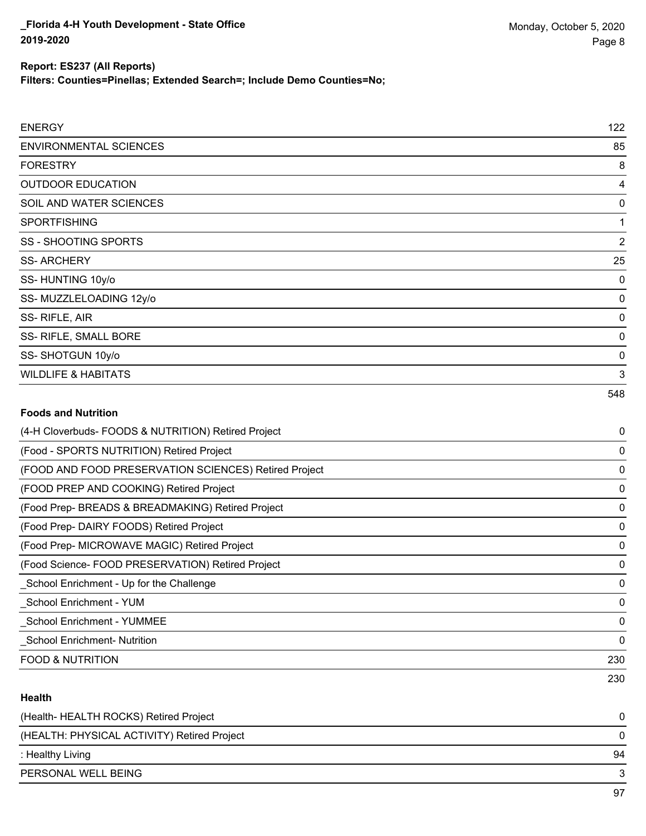**Filters: Counties=Pinellas; Extended Search=; Include Demo Counties=No;**

| <b>ENERGY</b>            | 122            |
|--------------------------|----------------|
| ENVIRONMENTAL SCIENCES   | 85             |
| FORESTRY                 | 8              |
| <b>OUTDOOR EDUCATION</b> | 4              |
| SOIL AND WATER SCIENCES  | $\overline{0}$ |
| <b>SPORTFISHING</b>      | 1              |
| SS - SHOOTING SPORTS     | $\overline{2}$ |
| <b>SS-ARCHERY</b>        | 25             |
| SS-HUNTING 10y/o         | $\overline{0}$ |
| SS-MUZZLELOADING 12y/o   | $\mathbf 0$    |
| SS-RIFLE, AIR            | $\mathbf 0$    |
| SS-RIFLE, SMALL BORE     | $\mathbf 0$    |

SS- SHOTGUN 10y/o 0

NILDLIFE & HABITATS 3

# 548

# **Foods and Nutrition** (4-H Cloverbuds- FOODS & NUTRITION) Retired Project 0 (Food - SPORTS NUTRITION) Retired Project 0 (FOOD AND FOOD PRESERVATION SCIENCES) Retired Project 0 (FOOD PREP AND COOKING) Retired Project 0 (Food Prep- BREADS & BREADMAKING) Retired Project 0 (Food Prep- DAIRY FOODS) Retired Project 0 (Food Prep- MICROWAVE MAGIC) Retired Project 0 (Food Science- FOOD PRESERVATION) Retired Project 0 \_School Enrichment - Up for the Challenge 0 \_School Enrichment - YUM 0 \_School Enrichment - YUMMEE 0 \_School Enrichment- Nutrition 0 FOOD & NUTRITION 230 230

## **Health**

| (Health-HEALTH ROCKS) Retired Project       |    |
|---------------------------------------------|----|
| (HEALTH: PHYSICAL ACTIVITY) Retired Project |    |
| : Healthy Living                            | 94 |
| PERSONAL WELL BEING                         |    |
|                                             |    |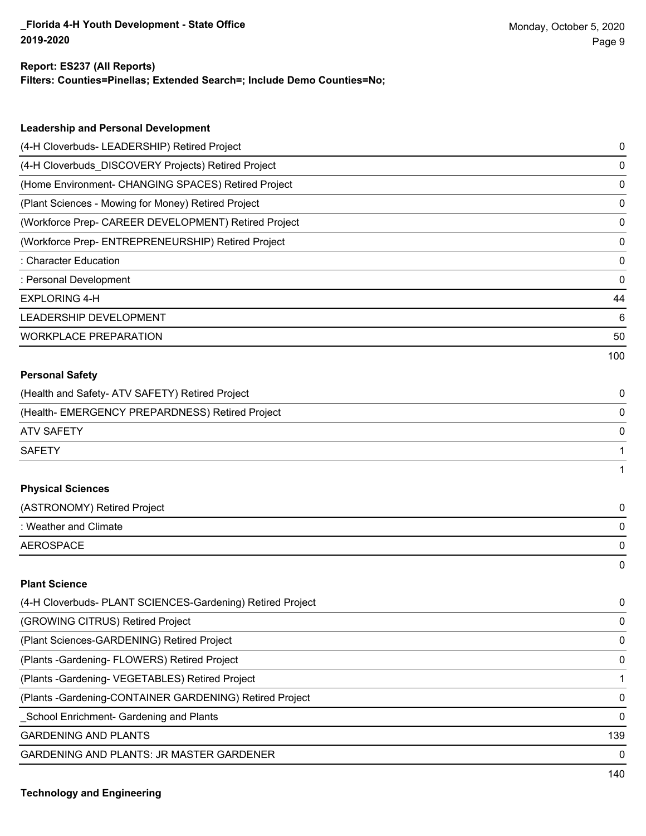#### **Report: ES237 (All Reports)**

**Filters: Counties=Pinellas; Extended Search=; Include Demo Counties=No;**

| <b>Leadership and Personal Development</b>                 |     |
|------------------------------------------------------------|-----|
| (4-H Cloverbuds- LEADERSHIP) Retired Project               | 0   |
| (4-H Cloverbuds_DISCOVERY Projects) Retired Project        | 0   |
| (Home Environment- CHANGING SPACES) Retired Project        | 0   |
| (Plant Sciences - Mowing for Money) Retired Project        | 0   |
| (Workforce Prep- CAREER DEVELOPMENT) Retired Project       | 0   |
| (Workforce Prep- ENTREPRENEURSHIP) Retired Project         | 0   |
| : Character Education                                      | 0   |
| : Personal Development                                     | 0   |
| <b>EXPLORING 4-H</b>                                       | 44  |
| LEADERSHIP DEVELOPMENT                                     | 6   |
| <b>WORKPLACE PREPARATION</b>                               | 50  |
|                                                            | 100 |
| <b>Personal Safety</b>                                     |     |
| (Health and Safety- ATV SAFETY) Retired Project            | 0   |
| (Health- EMERGENCY PREPARDNESS) Retired Project            | 0   |
| <b>ATV SAFETY</b>                                          | 0   |
| <b>SAFETY</b>                                              | 1   |
|                                                            | 1   |
| <b>Physical Sciences</b>                                   |     |
| (ASTRONOMY) Retired Project                                | 0   |
| : Weather and Climate                                      | 0   |
| <b>AEROSPACE</b>                                           | 0   |
|                                                            | 0   |
| <b>Plant Science</b>                                       |     |
| (4-H Cloverbuds- PLANT SCIENCES-Gardening) Retired Project | 0   |
| (GROWING CITRUS) Retired Project                           | 0   |
| (Plant Sciences-GARDENING) Retired Project                 | 0   |

(Plants -Gardening- FLOWERS) Retired Project 0 (Plants -Gardening- VEGETABLES) Retired Project 1

(Plants -Gardening-CONTAINER GARDENING) Retired Project 0

\_School Enrichment- Gardening and Plants 0

GARDENING AND PLANTS 139

GARDENING AND PLANTS: JR MASTER GARDENER 0